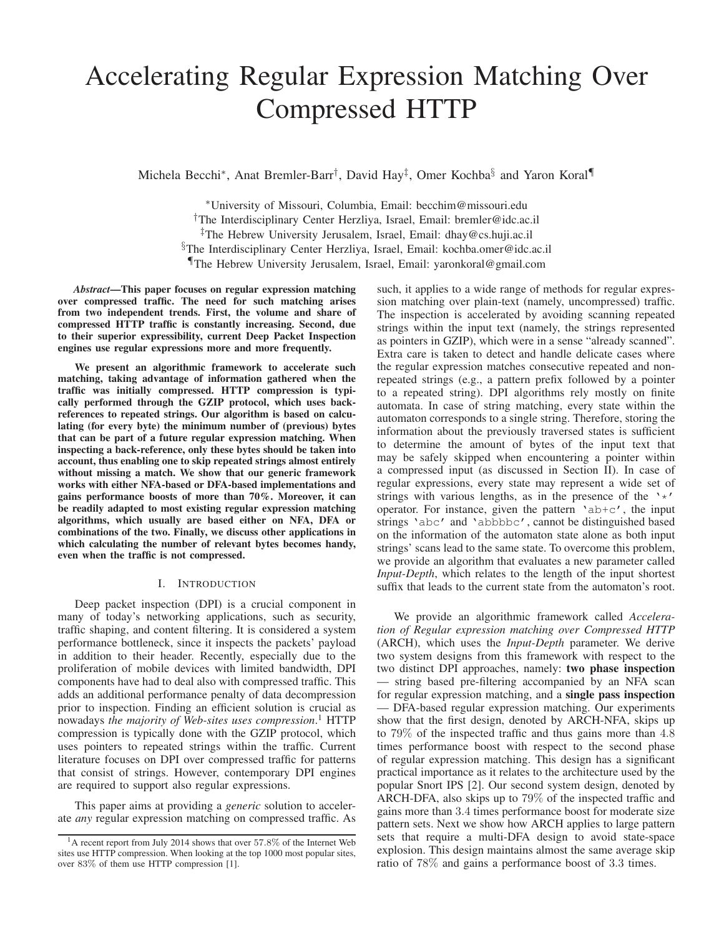# Accelerating Regular Expression Matching Over Compressed HTTP

Michela Becchi<sup>∗</sup> , Anat Bremler-Barr† , David Hay‡ , Omer Kochba§ and Yaron Koral¶

<sup>∗</sup>University of Missouri, Columbia, Email: becchim@missouri.edu †The Interdisciplinary Center Herzliya, Israel, Email: bremler@idc.ac.il ‡The Hebrew University Jerusalem, Israel, Email: dhay@cs.huji.ac.il §The Interdisciplinary Center Herzliya, Israel, Email: kochba.omer@idc.ac.il ¶The Hebrew University Jerusalem, Israel, Email: yaronkoral@gmail.com

*Abstract*—This paper focuses on regular expression matching over compressed traffic. The need for such matching arises from two independent trends. First, the volume and share of compressed HTTP traffic is constantly increasing. Second, due to their superior expressibility, current Deep Packet Inspection engines use regular expressions more and more frequently.

We present an algorithmic framework to accelerate such matching, taking advantage of information gathered when the traffic was initially compressed. HTTP compression is typically performed through the GZIP protocol, which uses backreferences to repeated strings. Our algorithm is based on calculating (for every byte) the minimum number of (previous) bytes that can be part of a future regular expression matching. When inspecting a back-reference, only these bytes should be taken into account, thus enabling one to skip repeated strings almost entirely without missing a match. We show that our generic framework works with either NFA-based or DFA-based implementations and gains performance boosts of more than 70%. Moreover, it can be readily adapted to most existing regular expression matching algorithms, which usually are based either on NFA, DFA or combinations of the two. Finally, we discuss other applications in which calculating the number of relevant bytes becomes handy, even when the traffic is not compressed.

## I. INTRODUCTION

Deep packet inspection (DPI) is a crucial component in many of today's networking applications, such as security, traffic shaping, and content filtering. It is considered a system performance bottleneck, since it inspects the packets' payload in addition to their header. Recently, especially due to the proliferation of mobile devices with limited bandwidth, DPI components have had to deal also with compressed traffic. This adds an additional performance penalty of data decompression prior to inspection. Finding an efficient solution is crucial as nowadays *the majority of Web-sites uses compression*. <sup>1</sup> HTTP compression is typically done with the GZIP protocol, which uses pointers to repeated strings within the traffic. Current literature focuses on DPI over compressed traffic for patterns that consist of strings. However, contemporary DPI engines are required to support also regular expressions.

This paper aims at providing a *generic* solution to accelerate *any* regular expression matching on compressed traffic. As such, it applies to a wide range of methods for regular expression matching over plain-text (namely, uncompressed) traffic. The inspection is accelerated by avoiding scanning repeated strings within the input text (namely, the strings represented as pointers in GZIP), which were in a sense "already scanned". Extra care is taken to detect and handle delicate cases where the regular expression matches consecutive repeated and nonrepeated strings (e.g., a pattern prefix followed by a pointer to a repeated string). DPI algorithms rely mostly on finite automata. In case of string matching, every state within the automaton corresponds to a single string. Therefore, storing the information about the previously traversed states is sufficient to determine the amount of bytes of the input text that may be safely skipped when encountering a pointer within a compressed input (as discussed in Section II). In case of regular expressions, every state may represent a wide set of strings with various lengths, as in the presence of the  $\cdot \cdot \cdot$ operator. For instance, given the pattern ' $ab+c'$ , the input strings 'abc' and 'abbbbc', cannot be distinguished based on the information of the automaton state alone as both input strings' scans lead to the same state. To overcome this problem, we provide an algorithm that evaluates a new parameter called *Input-Depth*, which relates to the length of the input shortest suffix that leads to the current state from the automaton's root.

We provide an algorithmic framework called *Acceleration of Regular expression matching over Compressed HTTP* (ARCH), which uses the *Input-Depth* parameter. We derive two system designs from this framework with respect to the two distinct DPI approaches, namely: two phase inspection string based pre-filtering accompanied by an NFA scan for regular expression matching, and a single pass inspection — DFA-based regular expression matching. Our experiments show that the first design, denoted by ARCH-NFA, skips up to 79% of the inspected traffic and thus gains more than 4.8 times performance boost with respect to the second phase of regular expression matching. This design has a significant practical importance as it relates to the architecture used by the popular Snort IPS [2]. Our second system design, denoted by ARCH-DFA, also skips up to 79% of the inspected traffic and gains more than 3.4 times performance boost for moderate size pattern sets. Next we show how ARCH applies to large pattern sets that require a multi-DFA design to avoid state-space explosion. This design maintains almost the same average skip ratio of 78% and gains a performance boost of 3.3 times.

 $1A$  recent report from July 2014 shows that over 57.8% of the Internet Web sites use HTTP compression. When looking at the top 1000 most popular sites, over 83% of them use HTTP compression [1].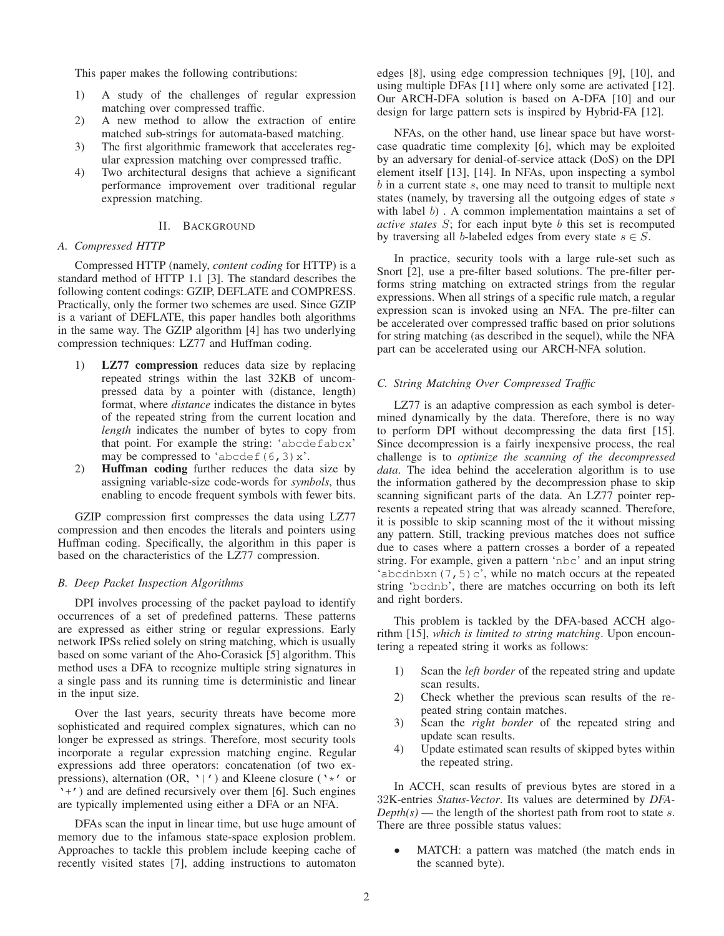This paper makes the following contributions:

- 1) A study of the challenges of regular expression matching over compressed traffic.
- 2) A new method to allow the extraction of entire matched sub-strings for automata-based matching.
- 3) The first algorithmic framework that accelerates regular expression matching over compressed traffic.
- 4) Two architectural designs that achieve a significant performance improvement over traditional regular expression matching.

# II. BACKGROUND

#### *A. Compressed HTTP*

Compressed HTTP (namely, *content coding* for HTTP) is a standard method of HTTP 1.1 [3]. The standard describes the following content codings: GZIP, DEFLATE and COMPRESS. Practically, only the former two schemes are used. Since GZIP is a variant of DEFLATE, this paper handles both algorithms in the same way. The GZIP algorithm [4] has two underlying compression techniques: LZ77 and Huffman coding.

- 1) LZ77 compression reduces data size by replacing repeated strings within the last 32KB of uncompressed data by a pointer with (distance, length) format, where *distance* indicates the distance in bytes of the repeated string from the current location and *length* indicates the number of bytes to copy from that point. For example the string: 'abcdefabcx' may be compressed to 'abcdef(6,3) $x'$ .
- 2) Huffman coding further reduces the data size by assigning variable-size code-words for *symbols*, thus enabling to encode frequent symbols with fewer bits.

GZIP compression first compresses the data using LZ77 compression and then encodes the literals and pointers using Huffman coding. Specifically, the algorithm in this paper is based on the characteristics of the LZ77 compression.

# *B. Deep Packet Inspection Algorithms*

DPI involves processing of the packet payload to identify occurrences of a set of predefined patterns. These patterns are expressed as either string or regular expressions. Early network IPSs relied solely on string matching, which is usually based on some variant of the Aho-Corasick [5] algorithm. This method uses a DFA to recognize multiple string signatures in a single pass and its running time is deterministic and linear in the input size.

Over the last years, security threats have become more sophisticated and required complex signatures, which can no longer be expressed as strings. Therefore, most security tools incorporate a regular expression matching engine. Regular expressions add three operators: concatenation (of two expressions), alternation (OR,  $\cdot$  |') and Kleene closure ( $\cdot *'$  or '+') and are defined recursively over them [6]. Such engines are typically implemented using either a DFA or an NFA.

DFAs scan the input in linear time, but use huge amount of memory due to the infamous state-space explosion problem. Approaches to tackle this problem include keeping cache of recently visited states [7], adding instructions to automaton edges [8], using edge compression techniques [9], [10], and using multiple DFAs [11] where only some are activated [12]. Our ARCH-DFA solution is based on A-DFA [10] and our design for large pattern sets is inspired by Hybrid-FA [12].

NFAs, on the other hand, use linear space but have worstcase quadratic time complexity [6], which may be exploited by an adversary for denial-of-service attack (DoS) on the DPI element itself [13], [14]. In NFAs, upon inspecting a symbol  $b$  in a current state  $s$ , one may need to transit to multiple next states (namely, by traversing all the outgoing edges of state s with label  $b$ ). A common implementation maintains a set of *active states* S; for each input byte b this set is recomputed by traversing all b-labeled edges from every state  $s \in S$ .

In practice, security tools with a large rule-set such as Snort [2], use a pre-filter based solutions. The pre-filter performs string matching on extracted strings from the regular expressions. When all strings of a specific rule match, a regular expression scan is invoked using an NFA. The pre-filter can be accelerated over compressed traffic based on prior solutions for string matching (as described in the sequel), while the NFA part can be accelerated using our ARCH-NFA solution.

# *C. String Matching Over Compressed Traffic*

LZ77 is an adaptive compression as each symbol is determined dynamically by the data. Therefore, there is no way to perform DPI without decompressing the data first [15]. Since decompression is a fairly inexpensive process, the real challenge is to *optimize the scanning of the decompressed data*. The idea behind the acceleration algorithm is to use the information gathered by the decompression phase to skip scanning significant parts of the data. An LZ77 pointer represents a repeated string that was already scanned. Therefore, it is possible to skip scanning most of the it without missing any pattern. Still, tracking previous matches does not suffice due to cases where a pattern crosses a border of a repeated string. For example, given a pattern 'nbc' and an input string 'abcdnbxn(7,5) $c'$ , while no match occurs at the repeated string 'bcdnb', there are matches occurring on both its left and right borders.

This problem is tackled by the DFA-based ACCH algorithm [15], *which is limited to string matching*. Upon encountering a repeated string it works as follows:

- 1) Scan the *left border* of the repeated string and update scan results.
- 2) Check whether the previous scan results of the repeated string contain matches.
- 3) Scan the *right border* of the repeated string and update scan results.
- 4) Update estimated scan results of skipped bytes within the repeated string.

In ACCH, scan results of previous bytes are stored in a 32K-entries *Status-Vector*. Its values are determined by *DFA-* $Depth(s)$ — the length of the shortest path from root to state s. There are three possible status values:

MATCH: a pattern was matched (the match ends in the scanned byte).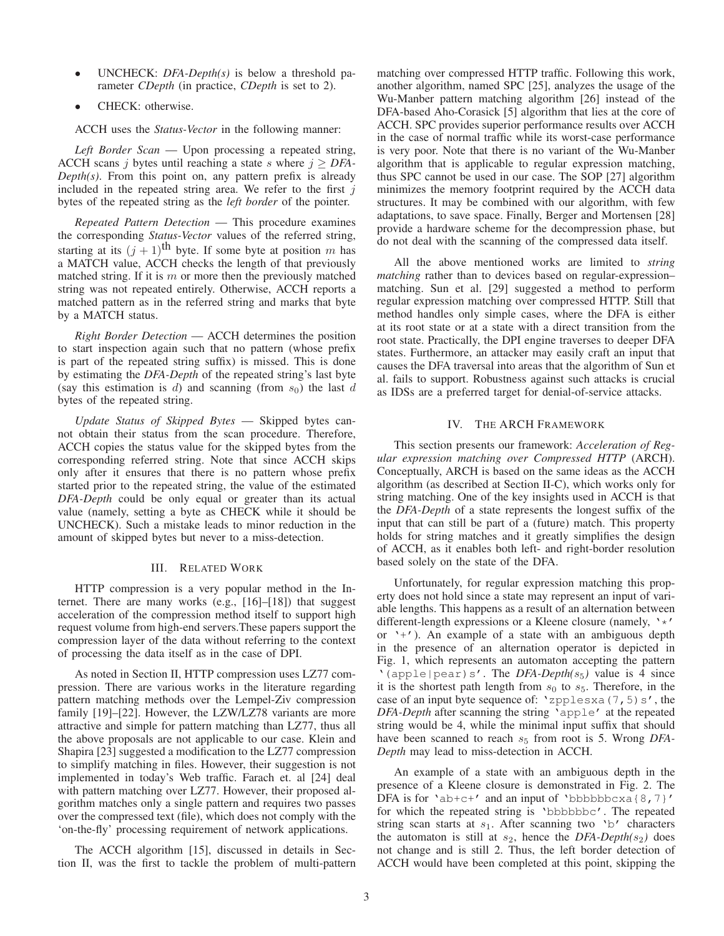- UNCHECK: *DFA-Depth(s)* is below a threshold parameter *CDepth* (in practice, *CDepth* is set to 2).
- CHECK: otherwise.

ACCH uses the *Status-Vector* in the following manner:

*Left Border Scan* — Upon processing a repeated string, ACCH scans j bytes until reaching a state s where  $j \geq DFA$ -*Depth(s)*. From this point on, any pattern prefix is already included in the repeated string area. We refer to the first  $j$ bytes of the repeated string as the *left border* of the pointer.

*Repeated Pattern Detection* — This procedure examines the corresponding *Status-Vector* values of the referred string, starting at its  $(j + 1)$ <sup>th</sup> byte. If some byte at position m has a MATCH value, ACCH checks the length of that previously matched string. If it is  $m$  or more then the previously matched string was not repeated entirely. Otherwise, ACCH reports a matched pattern as in the referred string and marks that byte by a MATCH status.

*Right Border Detection* — ACCH determines the position to start inspection again such that no pattern (whose prefix is part of the repeated string suffix) is missed. This is done by estimating the *DFA-Depth* of the repeated string's last byte (say this estimation is  $d$ ) and scanning (from  $s_0$ ) the last  $d$ bytes of the repeated string.

*Update Status of Skipped Bytes* — Skipped bytes cannot obtain their status from the scan procedure. Therefore, ACCH copies the status value for the skipped bytes from the corresponding referred string. Note that since ACCH skips only after it ensures that there is no pattern whose prefix started prior to the repeated string, the value of the estimated *DFA-Depth* could be only equal or greater than its actual value (namely, setting a byte as CHECK while it should be UNCHECK). Such a mistake leads to minor reduction in the amount of skipped bytes but never to a miss-detection.

## III. RELATED WORK

HTTP compression is a very popular method in the Internet. There are many works (e.g., [16]–[18]) that suggest acceleration of the compression method itself to support high request volume from high-end servers.These papers support the compression layer of the data without referring to the context of processing the data itself as in the case of DPI.

As noted in Section II, HTTP compression uses LZ77 compression. There are various works in the literature regarding pattern matching methods over the Lempel-Ziv compression family [19]–[22]. However, the LZW/LZ78 variants are more attractive and simple for pattern matching than LZ77, thus all the above proposals are not applicable to our case. Klein and Shapira [23] suggested a modification to the LZ77 compression to simplify matching in files. However, their suggestion is not implemented in today's Web traffic. Farach et. al [24] deal with pattern matching over LZ77. However, their proposed algorithm matches only a single pattern and requires two passes over the compressed text (file), which does not comply with the 'on-the-fly' processing requirement of network applications.

The ACCH algorithm [15], discussed in details in Section II, was the first to tackle the problem of multi-pattern matching over compressed HTTP traffic. Following this work, another algorithm, named SPC [25], analyzes the usage of the Wu-Manber pattern matching algorithm [26] instead of the DFA-based Aho-Corasick [5] algorithm that lies at the core of ACCH. SPC provides superior performance results over ACCH in the case of normal traffic while its worst-case performance is very poor. Note that there is no variant of the Wu-Manber algorithm that is applicable to regular expression matching, thus SPC cannot be used in our case. The SOP [27] algorithm minimizes the memory footprint required by the ACCH data structures. It may be combined with our algorithm, with few adaptations, to save space. Finally, Berger and Mortensen [28] provide a hardware scheme for the decompression phase, but do not deal with the scanning of the compressed data itself.

All the above mentioned works are limited to *string matching* rather than to devices based on regular-expression– matching. Sun et al. [29] suggested a method to perform regular expression matching over compressed HTTP. Still that method handles only simple cases, where the DFA is either at its root state or at a state with a direct transition from the root state. Practically, the DPI engine traverses to deeper DFA states. Furthermore, an attacker may easily craft an input that causes the DFA traversal into areas that the algorithm of Sun et al. fails to support. Robustness against such attacks is crucial as IDSs are a preferred target for denial-of-service attacks.

## IV. THE ARCH FRAMEWORK

This section presents our framework: *Acceleration of Regular expression matching over Compressed HTTP* (ARCH). Conceptually, ARCH is based on the same ideas as the ACCH algorithm (as described at Section II-C), which works only for string matching. One of the key insights used in ACCH is that the *DFA-Depth* of a state represents the longest suffix of the input that can still be part of a (future) match. This property holds for string matches and it greatly simplifies the design of ACCH, as it enables both left- and right-border resolution based solely on the state of the DFA.

Unfortunately, for regular expression matching this property does not hold since a state may represent an input of variable lengths. This happens as a result of an alternation between different-length expressions or a Kleene closure (namely, '\*' or  $'+$ . An example of a state with an ambiguous depth in the presence of an alternation operator is depicted in Fig. 1, which represents an automaton accepting the pattern '(apple|pear)s'. The *DFA-Depth(*s5*)* value is 4 since it is the shortest path length from  $s_0$  to  $s_5$ . Therefore, in the case of an input byte sequence of: 'zpplesxa(7,5)s', the *DFA-Depth* after scanning the string 'apple' at the repeated string would be 4, while the minimal input suffix that should have been scanned to reach  $s_5$  from root is 5. Wrong *DFA*-*Depth* may lead to miss-detection in ACCH.

An example of a state with an ambiguous depth in the presence of a Kleene closure is demonstrated in Fig. 2. The DFA is for 'ab+c+' and an input of 'bbbbbbcxa{8,7}' for which the repeated string is 'bbbbbbc'. The repeated string scan starts at  $s_1$ . After scanning two 'b' characters the automaton is still at  $s_2$ , hence the *DFA-Depth(s<sub>2</sub>)* does not change and is still 2. Thus, the left border detection of ACCH would have been completed at this point, skipping the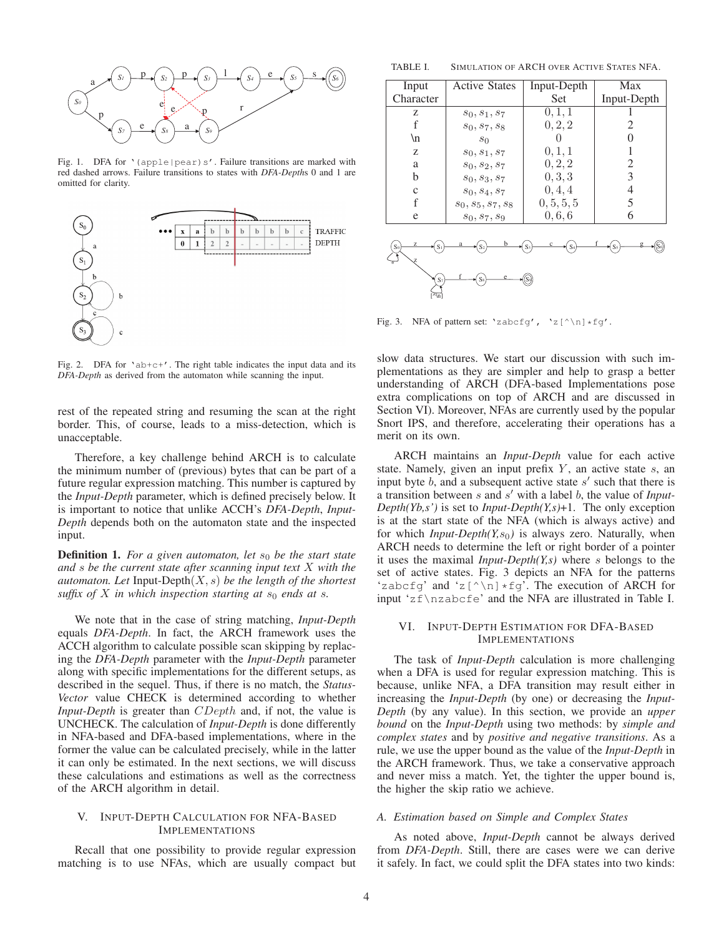

Fig. 1. DFA for '(apple|pear)s'. Failure transitions are marked with red dashed arrows. Failure transitions to states with *DFA-Depth*s 0 and 1 are omitted for clarity.



Fig. 2. DFA for 'ab+c+'. The right table indicates the input data and its *DFA-Depth* as derived from the automaton while scanning the input.

rest of the repeated string and resuming the scan at the right border. This, of course, leads to a miss-detection, which is unacceptable.

Therefore, a key challenge behind ARCH is to calculate the minimum number of (previous) bytes that can be part of a future regular expression matching. This number is captured by the *Input-Depth* parameter, which is defined precisely below. It is important to notice that unlike ACCH's *DFA-Depth*, *Input-Depth* depends both on the automaton state and the inspected input.

**Definition 1.** For a given automaton, let  $s_0$  be the start state *and* s *be the current state after scanning input text* X *with the automaton. Let* Input-Depth(X, s) *be the length of the shortest suffix of*  $X$  *in which inspection starting at*  $s_0$  *ends at*  $s$ *.* 

We note that in the case of string matching, *Input-Depth* equals *DFA-Depth*. In fact, the ARCH framework uses the ACCH algorithm to calculate possible scan skipping by replacing the *DFA-Depth* parameter with the *Input-Depth* parameter along with specific implementations for the different setups, as described in the sequel. Thus, if there is no match, the *Status-Vector* value CHECK is determined according to whether *Input-Depth* is greater than *CDepth* and, if not, the value is UNCHECK. The calculation of *Input-Depth* is done differently in NFA-based and DFA-based implementations, where in the former the value can be calculated precisely, while in the latter it can only be estimated. In the next sections, we will discuss these calculations and estimations as well as the correctness of the ARCH algorithm in detail.

# V. INPUT-DEPTH CALCULATION FOR NFA-BASED IMPLEMENTATIONS

Recall that one possibility to provide regular expression matching is to use NFAs, which are usually compact but

TABLE I. SIMULATION OF ARCH OVER ACTIVE STATES NFA.

| Input                            | <b>Active States</b> | Input-Depth | Max         |  |
|----------------------------------|----------------------|-------------|-------------|--|
| Character                        |                      | Set         | Input-Depth |  |
| Z                                | $s_0, s_1, s_7$      | 0, 1, 1     |             |  |
| f                                | $s_0, s_7, s_8$      | 0, 2, 2     |             |  |
| \n                               | $s_0$                |             |             |  |
| Z                                | $s_0, s_1, s_7$      | 0, 1, 1     |             |  |
| a                                | $s_0, s_2, s_7$      | 0, 2, 2     | 2           |  |
| b                                | $s_0, s_3, s_7$      | 0, 3, 3     | 3           |  |
| $\mathbf c$                      | $s_0, s_4, s_7$      | 0, 4, 4     | 4           |  |
| f                                | $s_0, s_5, s_7, s_8$ | 0, 5, 5, 5  | 5           |  |
| e                                | $s_0, s_7, s_9$      | 0, 6, 6     | 6           |  |
| $S_3$<br>$S_5$<br>S <sub>0</sub> |                      |             |             |  |
| $S_7$                            |                      |             |             |  |

Fig. 3. NFA of pattern set: 'zabcfg', 'z $[\hat{\ }$ n] \*fg'.

slow data structures. We start our discussion with such implementations as they are simpler and help to grasp a better understanding of ARCH (DFA-based Implementations pose extra complications on top of ARCH and are discussed in Section VI). Moreover, NFAs are currently used by the popular Snort IPS, and therefore, accelerating their operations has a merit on its own.

ARCH maintains an *Input-Depth* value for each active state. Namely, given an input prefix  $Y$ , an active state  $s$ , an input byte  $b$ , and a subsequent active state  $s'$  such that there is a transition between s and s ′ with a label b, the value of *Input-Depth(Yb,s')* is set to *Input-Depth(Y,s)*+1. The only exception is at the start state of the NFA (which is always active) and for which  $Input\text{-}Depth(Y,s_0)$  is always zero. Naturally, when ARCH needs to determine the left or right border of a pointer it uses the maximal *Input-Depth(Y,s)* where s belongs to the set of active states. Fig. 3 depicts an NFA for the patterns 'zabcfg' and 'z[^\n]  $\star$ fg'. The execution of ARCH for input 'zf\nzabcfe' and the NFA are illustrated in Table I.

## VI. INPUT-DEPTH ESTIMATION FOR DFA-BASED IMPLEMENTATIONS

The task of *Input-Depth* calculation is more challenging when a DFA is used for regular expression matching. This is because, unlike NFA, a DFA transition may result either in increasing the *Input-Depth* (by one) or decreasing the *Input-Depth* (by any value). In this section, we provide an *upper bound* on the *Input-Depth* using two methods: by *simple and complex states* and by *positive and negative transitions*. As a rule, we use the upper bound as the value of the *Input-Depth* in the ARCH framework. Thus, we take a conservative approach and never miss a match. Yet, the tighter the upper bound is, the higher the skip ratio we achieve.

## *A. Estimation based on Simple and Complex States*

As noted above, *Input-Depth* cannot be always derived from *DFA-Depth*. Still, there are cases were we can derive it safely. In fact, we could split the DFA states into two kinds: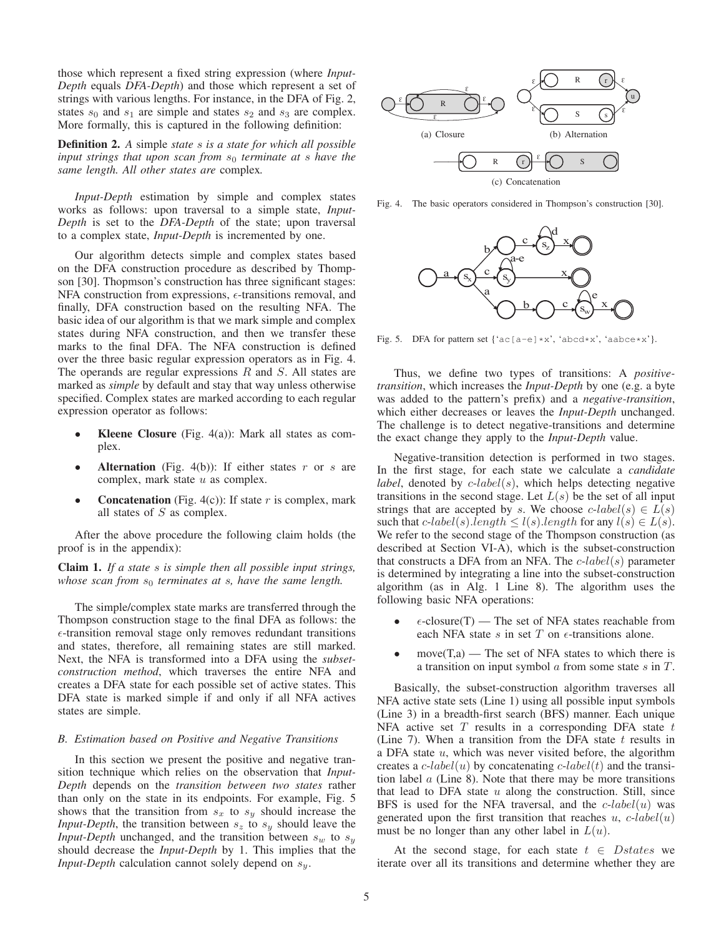those which represent a fixed string expression (where *Input-Depth* equals *DFA-Depth*) and those which represent a set of strings with various lengths. For instance, in the DFA of Fig. 2, states  $s_0$  and  $s_1$  are simple and states  $s_2$  and  $s_3$  are complex. More formally, this is captured in the following definition:

Definition 2. *A* simple *state* s *is a state for which all possible input strings that upon scan from*  $s_0$  *terminate at s have the same length. All other states are* complex*.*

*Input-Depth* estimation by simple and complex states works as follows: upon traversal to a simple state, *Input-Depth* is set to the *DFA-Depth* of the state; upon traversal to a complex state, *Input-Depth* is incremented by one.

Our algorithm detects simple and complex states based on the DFA construction procedure as described by Thompson [30]. Thopmson's construction has three significant stages: NFA construction from expressions,  $\epsilon$ -transitions removal, and finally, DFA construction based on the resulting NFA. The basic idea of our algorithm is that we mark simple and complex states during NFA construction, and then we transfer these marks to the final DFA. The NFA construction is defined over the three basic regular expression operators as in Fig. 4. The operands are regular expressions  $R$  and  $S$ . All states are marked as *simple* by default and stay that way unless otherwise specified. Complex states are marked according to each regular expression operator as follows:

- **Kleene Closure** (Fig. 4(a)): Mark all states as complex.
- Alternation (Fig. 4(b)): If either states  $r$  or  $s$  are complex, mark state u as complex.
- **Concatenation** (Fig. 4(c)): If state  $r$  is complex, mark all states of S as complex.

After the above procedure the following claim holds (the proof is in the appendix):

Claim 1. *If a state* s *is simple then all possible input strings, whose scan from*  $s_0$  *terminates at s, have the same length.* 

The simple/complex state marks are transferred through the Thompson construction stage to the final DFA as follows: the  $\epsilon$ -transition removal stage only removes redundant transitions and states, therefore, all remaining states are still marked. Next, the NFA is transformed into a DFA using the *subsetconstruction method*, which traverses the entire NFA and creates a DFA state for each possible set of active states. This DFA state is marked simple if and only if all NFA actives states are simple.

## *B. Estimation based on Positive and Negative Transitions*

In this section we present the positive and negative transition technique which relies on the observation that *Input-Depth* depends on the *transition between two states* rather than only on the state in its endpoints. For example, Fig. 5 shows that the transition from  $s_x$  to  $s_y$  should increase the *Input-Depth*, the transition between  $s_z$  to  $s_y$  should leave the *Input-Depth* unchanged, and the transition between  $s_w$  to  $s_y$ should decrease the *Input-Depth* by 1. This implies that the *Input-Depth* calculation cannot solely depend on  $s_y$ .



Fig. 4. The basic operators considered in Thompson's construction [30].



Fig. 5. DFA for pattern set {'ac[a-e]\*x', 'abcd\*x', 'aabce\*x'}.

Thus, we define two types of transitions: A *positivetransition*, which increases the *Input-Depth* by one (e.g. a byte was added to the pattern's prefix) and a *negative-transition*, which either decreases or leaves the *Input-Depth* unchanged. The challenge is to detect negative-transitions and determine the exact change they apply to the *Input-Depth* value.

Negative-transition detection is performed in two stages. In the first stage, for each state we calculate a *candidate label*, denoted by  $c$ -*label* $(s)$ , which helps detecting negative transitions in the second stage. Let  $L(s)$  be the set of all input strings that are accepted by s. We choose  $c\text{-}label(s) \in L(s)$ such that c-label(s).length  $\leq l(s)$ .length for any  $l(s) \in L(s)$ . We refer to the second stage of the Thompson construction (as described at Section VI-A), which is the subset-construction that constructs a DFA from an NFA. The  $c\text{-}label(s)$  parameter is determined by integrating a line into the subset-construction algorithm (as in Alg. 1 Line 8). The algorithm uses the following basic NFA operations:

- $\epsilon$ -closure(T) The set of NFA states reachable from each NFA state s in set  $T$  on  $\epsilon$ -transitions alone.
- $move(T,a)$  The set of NFA states to which there is a transition on input symbol  $\alpha$  from some state  $\delta$  in  $T$ .

Basically, the subset-construction algorithm traverses all NFA active state sets (Line 1) using all possible input symbols (Line 3) in a breadth-first search (BFS) manner. Each unique NFA active set  $T$  results in a corresponding DFA state  $t$ (Line 7). When a transition from the DFA state  $t$  results in a DFA state  $u$ , which was never visited before, the algorithm creates a  $c$ -label(u) by concatenating  $c$ -label(t) and the transition label  $a$  (Line 8). Note that there may be more transitions that lead to DFA state  $u$  along the construction. Still, since BFS is used for the NFA traversal, and the  $c$ -label(u) was generated upon the first transition that reaches  $u$ ,  $c$ -label(u) must be no longer than any other label in  $L(u)$ .

At the second stage, for each state  $t \in Dstates$  we iterate over all its transitions and determine whether they are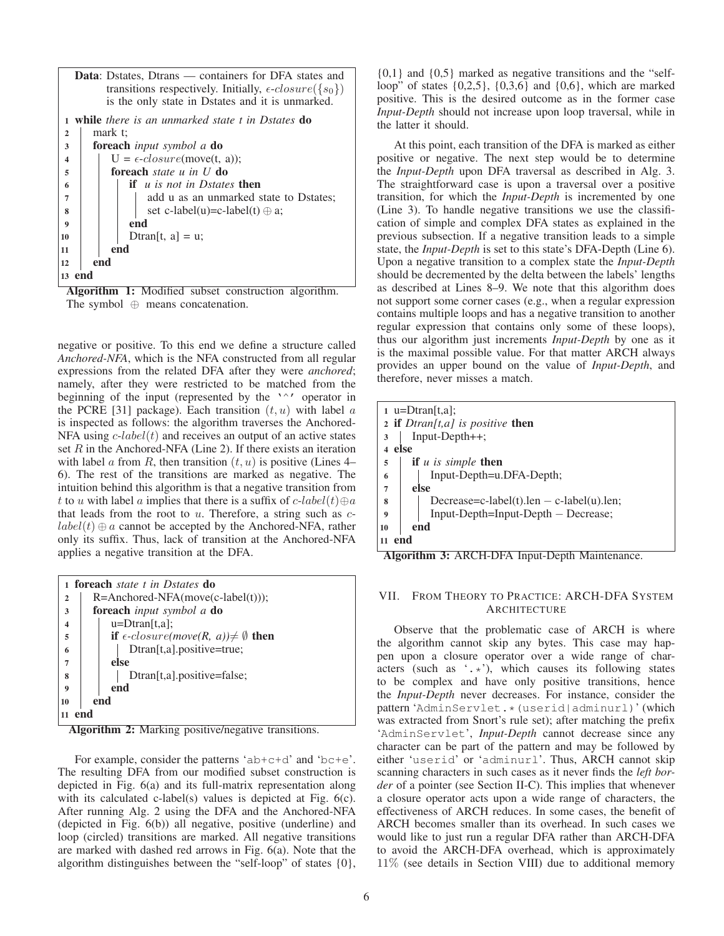|                         | <b>Data:</b> Dstates, Dtrans — containers for DFA states and<br>transitions respectively. Initially, $\epsilon$ - $closure({s_0})$<br>is the only state in Dstates and it is unmarked. |  |  |  |
|-------------------------|----------------------------------------------------------------------------------------------------------------------------------------------------------------------------------------|--|--|--|
|                         |                                                                                                                                                                                        |  |  |  |
| 1                       | while there is an unmarked state t in Dstates <b>do</b>                                                                                                                                |  |  |  |
| $\overline{2}$          | mark t:                                                                                                                                                                                |  |  |  |
| 3                       | <b>foreach</b> input symbol a <b>do</b>                                                                                                                                                |  |  |  |
| $\overline{\mathbf{4}}$ | $U = \epsilon \text{-}closure(move(t, a))$ ;                                                                                                                                           |  |  |  |
| 5                       | foreach <i>state u in U</i> do                                                                                                                                                         |  |  |  |
| 6                       | <b>if</b> u is not in Dstates <b>then</b>                                                                                                                                              |  |  |  |
| $\overline{7}$          | add u as an unmarked state to Dstates;                                                                                                                                                 |  |  |  |
| 8                       | set c-label(u)=c-label(t) $\oplus$ a;                                                                                                                                                  |  |  |  |
| $\boldsymbol{9}$        | end                                                                                                                                                                                    |  |  |  |
| 10                      | Dtran[t, $a$ ] = u;                                                                                                                                                                    |  |  |  |
| 11                      | end                                                                                                                                                                                    |  |  |  |
| end<br>12               |                                                                                                                                                                                        |  |  |  |
| 13                      |                                                                                                                                                                                        |  |  |  |

Algorithm 1: Modified subset construction algorithm. The symbol ⊕ means concatenation.

negative or positive. To this end we define a structure called *Anchored-NFA*, which is the NFA constructed from all regular expressions from the related DFA after they were *anchored*; namely, after they were restricted to be matched from the beginning of the input (represented by the '<sup>^'</sup> operator in the PCRE [31] package). Each transition  $(t, u)$  with label  $a$ is inspected as follows: the algorithm traverses the Anchored-NFA using  $c$ -label(t) and receives an output of an active states set  $R$  in the Anchored-NFA (Line 2). If there exists an iteration with label a from R, then transition  $(t, u)$  is positive (Lines 4– 6). The rest of the transitions are marked as negative. The intuition behind this algorithm is that a negative transition from t to u with label a implies that there is a suffix of  $c$ -label(t) $\oplus a$ that leads from the root to  $u$ . Therefore, a string such as  $c$  $label(t) \oplus a$  cannot be accepted by the Anchored-NFA, rather only its suffix. Thus, lack of transition at the Anchored-NFA applies a negative transition at the DFA.

|                         | 1 <b>foreach</b> <i>state t in Dstates</i> <b>do</b>     |  |  |
|-------------------------|----------------------------------------------------------|--|--|
| $\overline{2}$          | $R=AnotherOPA(move(c-label(t)))$ ;                       |  |  |
| 3                       | <b>foreach</b> input symbol a <b>do</b>                  |  |  |
| $\overline{\mathbf{4}}$ | $u = D$ tran $[t, a]$ ;                                  |  |  |
| 5                       | if $\epsilon$ -closure(move(R, a)) $\neq \emptyset$ then |  |  |
| 6                       | Dtran[t,a].positive=true;                                |  |  |
| 7                       | else                                                     |  |  |
| 8                       | Dtran[t,a].positive=false;                               |  |  |
| 9                       | end                                                      |  |  |
| end<br>10               |                                                          |  |  |
| end                     |                                                          |  |  |

Algorithm 2: Marking positive/negative transitions.

For example, consider the patterns 'ab+c+d' and 'bc+e'. The resulting DFA from our modified subset construction is depicted in Fig. 6(a) and its full-matrix representation along with its calculated c-label(s) values is depicted at Fig.  $6(c)$ . After running Alg. 2 using the DFA and the Anchored-NFA (depicted in Fig. 6(b)) all negative, positive (underline) and loop (circled) transitions are marked. All negative transitions are marked with dashed red arrows in Fig. 6(a). Note that the algorithm distinguishes between the "self-loop" of states {0},  ${0,1}$  and  ${0,5}$  marked as negative transitions and the "selfloop" of states {0,2,5}, {0,3,6} and {0,6}, which are marked positive. This is the desired outcome as in the former case *Input-Depth* should not increase upon loop traversal, while in the latter it should.

At this point, each transition of the DFA is marked as either positive or negative. The next step would be to determine the *Input-Depth* upon DFA traversal as described in Alg. 3. The straightforward case is upon a traversal over a positive transition, for which the *Input-Depth* is incremented by one (Line 3). To handle negative transitions we use the classification of simple and complex DFA states as explained in the previous subsection. If a negative transition leads to a simple state, the *Input-Depth* is set to this state's DFA-Depth (Line 6). Upon a negative transition to a complex state the *Input-Depth* should be decremented by the delta between the labels' lengths as described at Lines 8–9. We note that this algorithm does not support some corner cases (e.g., when a regular expression contains multiple loops and has a negative transition to another regular expression that contains only some of these loops), thus our algorithm just increments *Input-Depth* by one as it is the maximal possible value. For that matter ARCH always provides an upper bound on the value of *Input-Depth*, and therefore, never misses a match.

| $1 \quad u = \text{Dtran}[t, a];$                                                                                               |  |  |
|---------------------------------------------------------------------------------------------------------------------------------|--|--|
| 2 if $Dtran[t, a]$ is positive then                                                                                             |  |  |
| $Input\text{-}Depth++;$<br>3                                                                                                    |  |  |
| else                                                                                                                            |  |  |
| <b>if</b> $u$ is simple <b>then</b><br>5                                                                                        |  |  |
| Input-Depth=u.DFA-Depth;<br>6                                                                                                   |  |  |
| else<br>7                                                                                                                       |  |  |
| Decrease=c-label(t).len $-$ c-label(u).len;<br>8                                                                                |  |  |
| Input-Depth=Input-Depth – Decrease;<br>9                                                                                        |  |  |
| end<br>10                                                                                                                       |  |  |
| end<br>11<br>$\blacksquare$<br>$\cdots$<br>.<br>$\overline{\phantom{a}}$<br>$\overline{\phantom{1}}$<br>$\sqrt{2}$<br>$\cdot$ 1 |  |  |

Algorithm 3: ARCH-DFA Input-Depth Maintenance.

# VII. FROM THEORY TO PRACTICE: ARCH-DFA SYSTEM **ARCHITECTURE**

Observe that the problematic case of ARCH is where the algorithm cannot skip any bytes. This case may happen upon a closure operator over a wide range of characters (such as '.\*'), which causes its following states to be complex and have only positive transitions, hence the *Input-Depth* never decreases. For instance, consider the pattern 'AdminServlet.\*(userid|adminurl)' (which was extracted from Snort's rule set); after matching the prefix 'AdminServlet', *Input-Depth* cannot decrease since any character can be part of the pattern and may be followed by either 'userid' or 'adminurl'. Thus, ARCH cannot skip scanning characters in such cases as it never finds the *left border* of a pointer (see Section II-C). This implies that whenever a closure operator acts upon a wide range of characters, the effectiveness of ARCH reduces. In some cases, the benefit of ARCH becomes smaller than its overhead. In such cases we would like to just run a regular DFA rather than ARCH-DFA to avoid the ARCH-DFA overhead, which is approximately 11% (see details in Section VIII) due to additional memory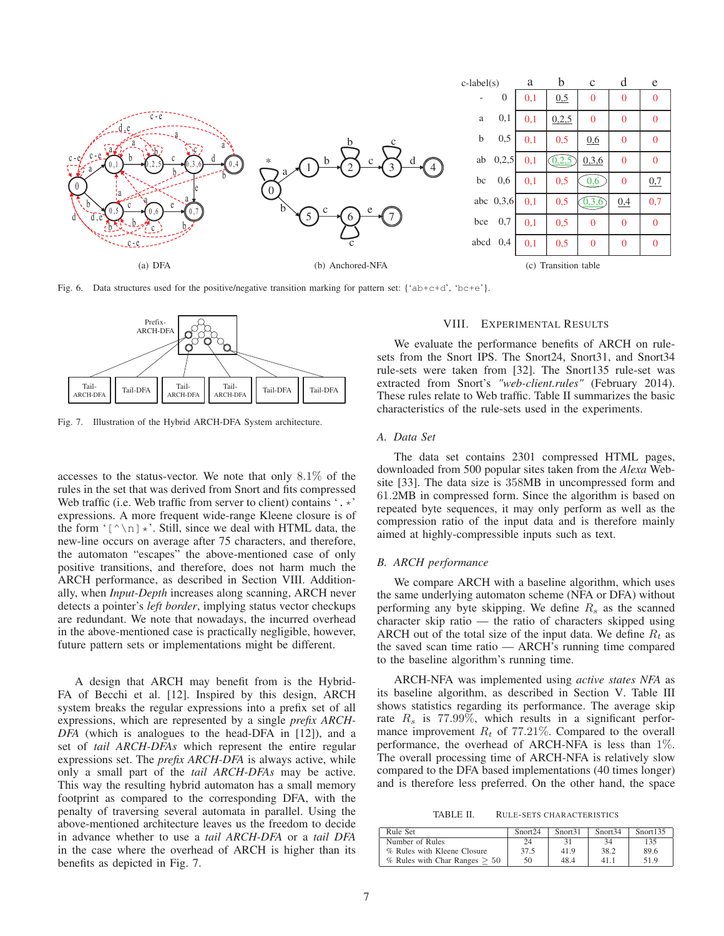

Fig. 6. Data structures used for the positive/negative transition marking for pattern set: { $a$ b+c+d',  $b$ c+e'}.



Fig. 7. Illustration of the Hybrid ARCH-DFA System architecture.

accesses to the status-vector. We note that only 8.1% of the rules in the set that was derived from Snort and fits compressed Web traffic (i.e. Web traffic from server to client) contains  $\cdot$ .  $\star$ ' expressions. A more frequent wide-range Kleene closure is of the form  $\lceil (\wedge \nabla) \rceil$   $\star$ '. Still, since we deal with HTML data, the new-line occurs on average after 75 characters, and therefore, the automaton "escapes" the above-mentioned case of only positive transitions, and therefore, does not harm much the ARCH performance, as described in Section VIII. Additionally, when *Input-Depth* increases along scanning, ARCH never detects a pointer's *left border*, implying status vector checkups are redundant. We note that nowadays, the incurred overhead in the above-mentioned case is practically negligible, however, future pattern sets or implementations might be different.

A design that ARCH may benefit from is the Hybrid-FA of Becchi et al. [12]. Inspired by this design, ARCH system breaks the regular expressions into a prefix set of all expressions, which are represented by a single *prefix ARCH-DFA* (which is analogues to the head-DFA in [12]), and a set of *tail ARCH-DFAs* which represent the entire regular expressions set. The *prefix ARCH-DFA* is always active, while only a small part of the *tail ARCH-DFAs* may be active. This way the resulting hybrid automaton has a small memory footprint as compared to the corresponding DFA, with the penalty of traversing several automata in parallel. Using the above-mentioned architecture leaves us the freedom to decide in advance whether to use a *tail ARCH-DFA* or a *tail DFA* in the case where the overhead of ARCH is higher than its benefits as depicted in Fig. 7.

# VIII. EXPERIMENTAL RESULTS

We evaluate the performance benefits of ARCH on rulesets from the Snort IPS. The Snort24, Snort31, and Snort34 rule-sets were taken from [32]. The Snort135 rule-set was extracted from Snort's *"web-client.rules"* (February 2014). These rules relate to Web traffic. Table II summarizes the basic characteristics of the rule-sets used in the experiments.

## *A. Data Set*

The data set contains 2301 compressed HTML pages, downloaded from 500 popular sites taken from the *Alexa* Website [33]. The data size is 358MB in uncompressed form and 61.2MB in compressed form. Since the algorithm is based on repeated byte sequences, it may only perform as well as the compression ratio of the input data and is therefore mainly aimed at highly-compressible inputs such as text.

#### *B. ARCH performance*

We compare ARCH with a baseline algorithm, which uses the same underlying automaton scheme (NFA or DFA) without performing any byte skipping. We define  $R<sub>s</sub>$  as the scanned character skip ratio — the ratio of characters skipped using ARCH out of the total size of the input data. We define  $R_t$  as the saved scan time ratio — ARCH's running time compared to the baseline algorithm's running time.

ARCH-NFA was implemented using *active states NFA* as its baseline algorithm, as described in Section V. Table III shows statistics regarding its performance. The average skip rate  $R_s$  is 77.99%, which results in a significant performance improvement  $R_t$  of 77.21%. Compared to the overall performance, the overhead of ARCH-NFA is less than 1%. The overall processing time of ARCH-NFA is relatively slow compared to the DFA based implementations (40 times longer) and is therefore less preferred. On the other hand, the space

TABLE II. RULE-SETS CHARACTERISTICS

| Rule Set                           | Snort <sub>24</sub> | Snort31 | Snort <sub>34</sub> | Snort135 |
|------------------------------------|---------------------|---------|---------------------|----------|
| Number of Rules                    | 24                  | 31      | 34                  | 135      |
| % Rules with Kleene Closure        | 37.5                | 41.9    | 38.2                | 89.6     |
| $\%$ Rules with Char Ranges $> 50$ | 50                  | 48.4    | 41.1                | 51.9     |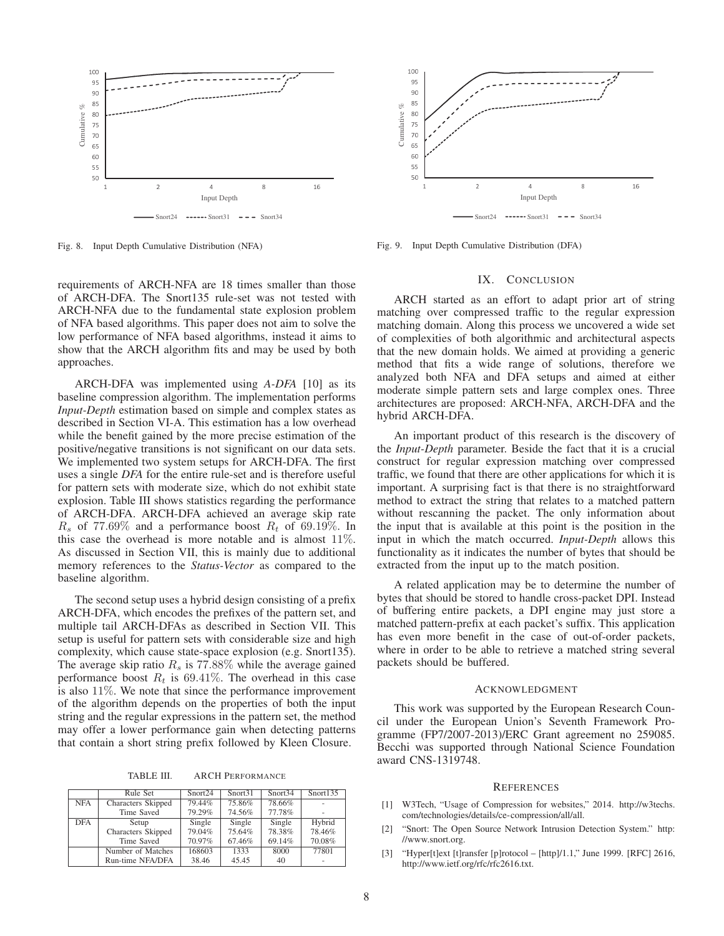

Fig. 8. Input Depth Cumulative Distribution (NFA)

requirements of ARCH-NFA are 18 times smaller than those of ARCH-DFA. The Snort135 rule-set was not tested with ARCH-NFA due to the fundamental state explosion problem of NFA based algorithms. This paper does not aim to solve the low performance of NFA based algorithms, instead it aims to show that the ARCH algorithm fits and may be used by both approaches.

ARCH-DFA was implemented using *A-DFA* [10] as its baseline compression algorithm. The implementation performs *Input-Depth* estimation based on simple and complex states as described in Section VI-A. This estimation has a low overhead while the benefit gained by the more precise estimation of the positive/negative transitions is not significant on our data sets. We implemented two system setups for ARCH-DFA. The first uses a single *DFA* for the entire rule-set and is therefore useful for pattern sets with moderate size, which do not exhibit state explosion. Table III shows statistics regarding the performance of ARCH-DFA. ARCH-DFA achieved an average skip rate  $R_s$  of 77.69% and a performance boost  $R_t$  of 69.19%. In this case the overhead is more notable and is almost 11%. As discussed in Section VII, this is mainly due to additional memory references to the *Status-Vector* as compared to the baseline algorithm.

The second setup uses a hybrid design consisting of a prefix ARCH-DFA, which encodes the prefixes of the pattern set, and multiple tail ARCH-DFAs as described in Section VII. This setup is useful for pattern sets with considerable size and high complexity, which cause state-space explosion (e.g. Snort135). The average skip ratio  $R_s$  is 77.88% while the average gained performance boost  $R_t$  is 69.41%. The overhead in this case is also 11%. We note that since the performance improvement of the algorithm depends on the properties of both the input string and the regular expressions in the pattern set, the method may offer a lower performance gain when detecting patterns that contain a short string prefix followed by Kleen Closure.

TABLE III. ARCH PERFORMANCE

|            | Rule Set           | Snort <sub>24</sub> | Snort31 | Snort34 | Snort135 |
|------------|--------------------|---------------------|---------|---------|----------|
| <b>NFA</b> | Characters Skipped | 79.44%              | 75.86%  | 78.66%  | ۰        |
|            | Time Saved         | 79.29%              | 74.56%  | 77.78%  |          |
| <b>DFA</b> | Setup              | Single              | Single  | Single  | Hybrid   |
|            | Characters Skipped | 79.04%              | 75.64%  | 78.38%  | 78.46%   |
|            | Time Saved         | 70.97%              | 67.46%  | 69.14%  | 70.08%   |
|            | Number of Matches  | 168603              | 1333    | 8000    | 77801    |
|            | Run-time NFA/DFA   | 38.46               | 45.45   | 40      |          |



Fig. 9. Input Depth Cumulative Distribution (DFA)

#### IX. CONCLUSION

ARCH started as an effort to adapt prior art of string matching over compressed traffic to the regular expression matching domain. Along this process we uncovered a wide set of complexities of both algorithmic and architectural aspects that the new domain holds. We aimed at providing a generic method that fits a wide range of solutions, therefore we analyzed both NFA and DFA setups and aimed at either moderate simple pattern sets and large complex ones. Three architectures are proposed: ARCH-NFA, ARCH-DFA and the hybrid ARCH-DFA.

An important product of this research is the discovery of the *Input-Depth* parameter. Beside the fact that it is a crucial construct for regular expression matching over compressed traffic, we found that there are other applications for which it is important. A surprising fact is that there is no straightforward method to extract the string that relates to a matched pattern without rescanning the packet. The only information about the input that is available at this point is the position in the input in which the match occurred. *Input-Depth* allows this functionality as it indicates the number of bytes that should be extracted from the input up to the match position.

A related application may be to determine the number of bytes that should be stored to handle cross-packet DPI. Instead of buffering entire packets, a DPI engine may just store a matched pattern-prefix at each packet's suffix. This application has even more benefit in the case of out-of-order packets, where in order to be able to retrieve a matched string several packets should be buffered.

# ACKNOWLEDGMENT

This work was supported by the European Research Council under the European Union's Seventh Framework Programme (FP7/2007-2013)/ERC Grant agreement no 259085. Becchi was supported through National Science Foundation award CNS-1319748.

#### **REFERENCES**

- [1] W3Tech, "Usage of Compression for websites," 2014. http://w3techs. com/technologies/details/ce-compression/all/all.
- [2] "Snort: The Open Source Network Intrusion Detection System." http: //www.snort.org.
- [3] "Hyper[t]ext [t]ransfer [p]rotocol [http]/1.1," June 1999. [RFC] 2616, http://www.ietf.org/rfc/rfc2616.txt.